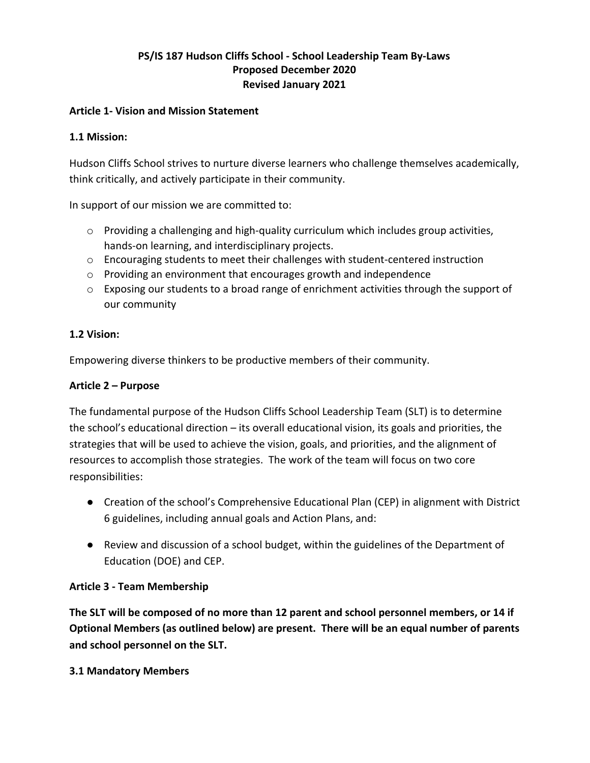# **PS/IS 187 Hudson Cliffs School - School Leadership Team By-Laws Proposed December 2020 Revised January 2021**

#### **Article 1- Vision and Mission Statement**

#### **1.1 Mission:**

Hudson Cliffs School strives to nurture diverse learners who challenge themselves academically, think critically, and actively participate in their community.

In support of our mission we are committed to:

- $\circ$  Providing a challenging and high-quality curriculum which includes group activities, hands-on learning, and interdisciplinary projects.
- o Encouraging students to meet their challenges with student-centered instruction
- o Providing an environment that encourages growth and independence
- $\circ$  Exposing our students to a broad range of enrichment activities through the support of our community

#### **1.2 Vision:**

Empowering diverse thinkers to be productive members of their community.

#### **Article 2 – Purpose**

The fundamental purpose of the Hudson Cliffs School Leadership Team (SLT) is to determine the school's educational direction – its overall educational vision, its goals and priorities, the strategies that will be used to achieve the vision, goals, and priorities, and the alignment of resources to accomplish those strategies. The work of the team will focus on two core responsibilities:

- Creation of the school's Comprehensive Educational Plan (CEP) in alignment with District 6 guidelines, including annual goals and Action Plans, and:
- Review and discussion of a school budget, within the guidelines of the Department of Education (DOE) and CEP.

#### **Article 3 - Team Membership**

**The SLT will be composed of no more than 12 parent and school personnel members, or 14 if Optional Members (as outlined below) are present. There will be an equal number of parents and school personnel on the SLT.**

#### **3.1 Mandatory Members**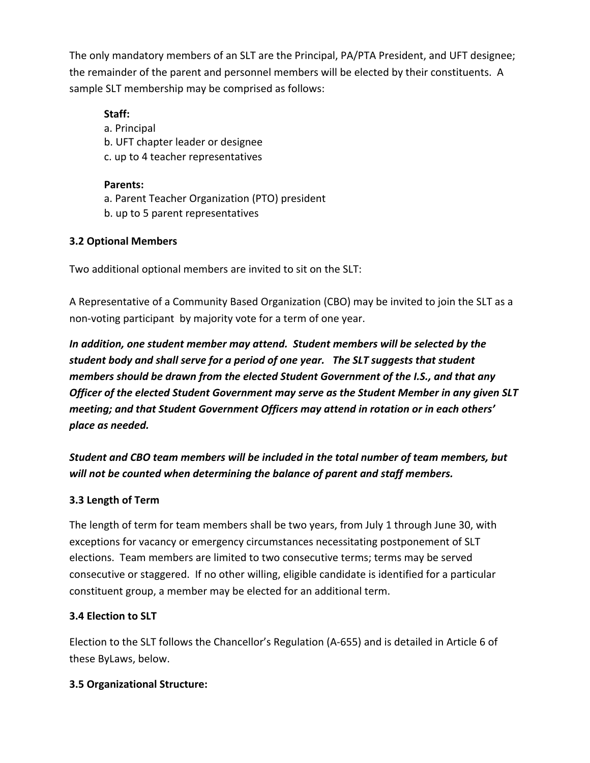The only mandatory members of an SLT are the Principal, PA/PTA President, and UFT designee; the remainder of the parent and personnel members will be elected by their constituents. A sample SLT membership may be comprised as follows:

# **Staff:**

a. Principal b. UFT chapter leader or designee c. up to 4 teacher representatives

**Parents:** a. Parent Teacher Organization (PTO) president b. up to 5 parent representatives

## **3.2 Optional Members**

Two additional optional members are invited to sit on the SLT:

A Representative of a Community Based Organization (CBO) may be invited to join the SLT as a non-voting participant by majority vote for a term of one year.

*In addition, one student member may attend. Student members will be selected by the student body and shall serve for a period of one year. The SLT suggests that student members should be drawn from the elected Student Government of the I.S., and that any Officer of the elected Student Government may serve as the Student Member in any given SLT meeting; and that Student Government Officers may attend in rotation or in each others' place as needed.*

*Student and CBO team members will be included in the total number of team members, but will not be counted when determining the balance of parent and staff members.*

# **3.3 Length of Term**

The length of term for team members shall be two years, from July 1 through June 30, with exceptions for vacancy or emergency circumstances necessitating postponement of SLT elections. Team members are limited to two consecutive terms; terms may be served consecutive or staggered. If no other willing, eligible candidate is identified for a particular constituent group, a member may be elected for an additional term.

## **3.4 Election to SLT**

Election to the SLT follows the Chancellor's Regulation (A-655) and is detailed in Article 6 of these ByLaws, below.

## **3.5 Organizational Structure:**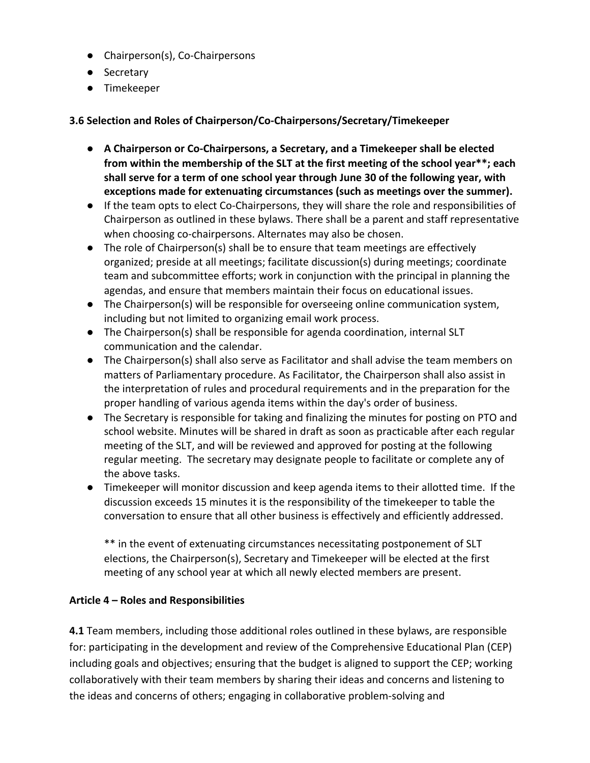- Chairperson(s), Co-Chairpersons
- Secretary
- Timekeeper

## **3.6 Selection and Roles of Chairperson/Co-Chairpersons/Secretary/Timekeeper**

- **A Chairperson or Co-Chairpersons, a Secretary, and a Timekeeper shall be elected from within the membership of the SLT at the first meeting of the school year\*\*; each shall serve for a term of one school year through June 30 of the following year, with exceptions made for extenuating circumstances (such as meetings over the summer).**
- If the team opts to elect Co-Chairpersons, they will share the role and responsibilities of Chairperson as outlined in these bylaws. There shall be a parent and staff representative when choosing co-chairpersons. Alternates may also be chosen.
- The role of Chairperson(s) shall be to ensure that team meetings are effectively organized; preside at all meetings; facilitate discussion(s) during meetings; coordinate team and subcommittee efforts; work in conjunction with the principal in planning the agendas, and ensure that members maintain their focus on educational issues.
- The Chairperson(s) will be responsible for overseeing online communication system, including but not limited to organizing email work process.
- The Chairperson(s) shall be responsible for agenda coordination, internal SLT communication and the calendar.
- The Chairperson(s) shall also serve as Facilitator and shall advise the team members on matters of Parliamentary procedure. As Facilitator, the Chairperson shall also assist in the interpretation of rules and procedural requirements and in the preparation for the proper handling of various agenda items within the day's order of business.
- The Secretary is responsible for taking and finalizing the minutes for posting on PTO and school website. Minutes will be shared in draft as soon as practicable after each regular meeting of the SLT, and will be reviewed and approved for posting at the following regular meeting. The secretary may designate people to facilitate or complete any of the above tasks.
- Timekeeper will monitor discussion and keep agenda items to their allotted time. If the discussion exceeds 15 minutes it is the responsibility of the timekeeper to table the conversation to ensure that all other business is effectively and efficiently addressed.

\*\* in the event of extenuating circumstances necessitating postponement of SLT elections, the Chairperson(s), Secretary and Timekeeper will be elected at the first meeting of any school year at which all newly elected members are present.

## **Article 4 – Roles and Responsibilities**

**4.1** Team members, including those additional roles outlined in these bylaws, are responsible for: participating in the development and review of the Comprehensive Educational Plan (CEP) including goals and objectives; ensuring that the budget is aligned to support the CEP; working collaboratively with their team members by sharing their ideas and concerns and listening to the ideas and concerns of others; engaging in collaborative problem-solving and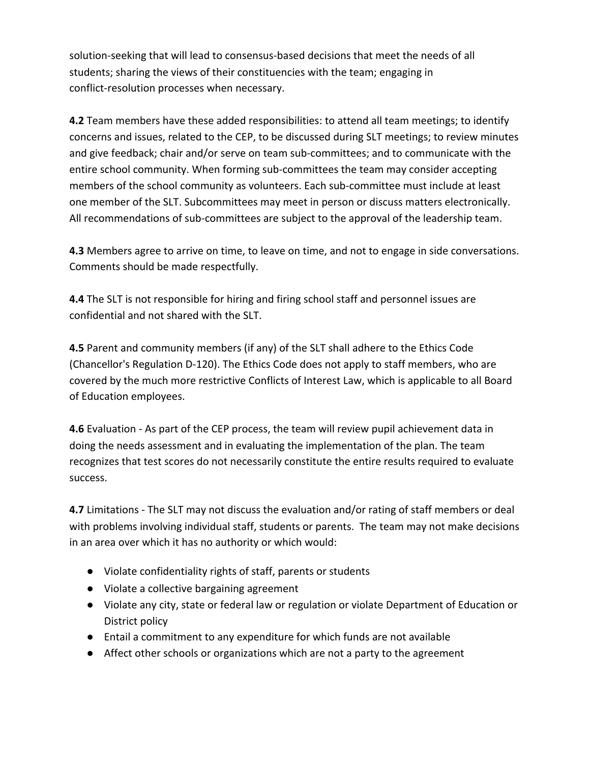solution-seeking that will lead to consensus-based decisions that meet the needs of all students; sharing the views of their constituencies with the team; engaging in conflict-resolution processes when necessary.

**4.2** Team members have these added responsibilities: to attend all team meetings; to identify concerns and issues, related to the CEP, to be discussed during SLT meetings; to review minutes and give feedback; chair and/or serve on team sub-committees; and to communicate with the entire school community. When forming sub-committees the team may consider accepting members of the school community as volunteers. Each sub-committee must include at least one member of the SLT. Subcommittees may meet in person or discuss matters electronically. All recommendations of sub-committees are subject to the approval of the leadership team.

**4.3** Members agree to arrive on time, to leave on time, and not to engage in side conversations. Comments should be made respectfully.

**4.4** The SLT is not responsible for hiring and firing school staff and personnel issues are confidential and not shared with the SLT.

**4.5** Parent and community members (if any) of the SLT shall adhere to the Ethics Code (Chancellor's Regulation D-120). The Ethics Code does not apply to staff members, who are covered by the much more restrictive Conflicts of Interest Law, which is applicable to all Board of Education employees.

**4.6** Evaluation - As part of the CEP process, the team will review pupil achievement data in doing the needs assessment and in evaluating the implementation of the plan. The team recognizes that test scores do not necessarily constitute the entire results required to evaluate success.

**4.7** Limitations - The SLT may not discuss the evaluation and/or rating of staff members or deal with problems involving individual staff, students or parents. The team may not make decisions in an area over which it has no authority or which would:

- Violate confidentiality rights of staff, parents or students
- Violate a collective bargaining agreement
- Violate any city, state or federal law or regulation or violate Department of Education or District policy
- Entail a commitment to any expenditure for which funds are not available
- Affect other schools or organizations which are not a party to the agreement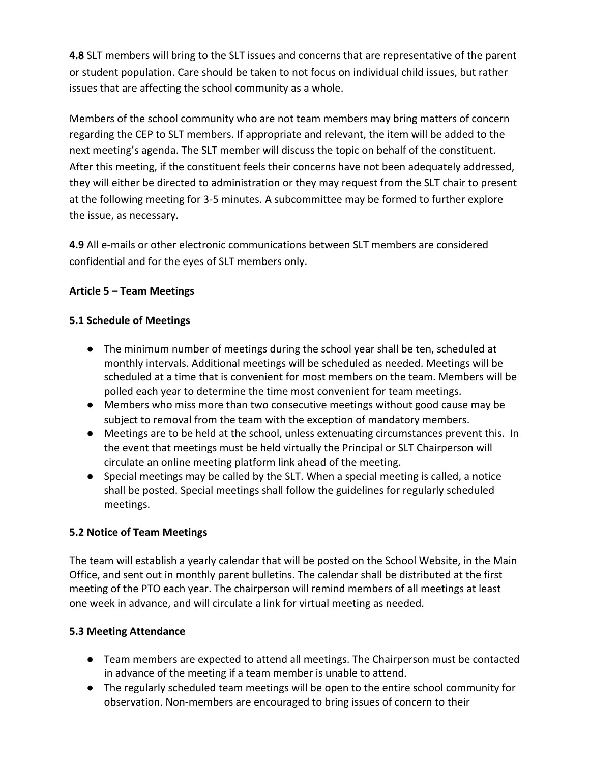**4.8** SLT members will bring to the SLT issues and concerns that are representative of the parent or student population. Care should be taken to not focus on individual child issues, but rather issues that are affecting the school community as a whole.

Members of the school community who are not team members may bring matters of concern regarding the CEP to SLT members. If appropriate and relevant, the item will be added to the next meeting's agenda. The SLT member will discuss the topic on behalf of the constituent. After this meeting, if the constituent feels their concerns have not been adequately addressed, they will either be directed to administration or they may request from the SLT chair to present at the following meeting for 3-5 minutes. A subcommittee may be formed to further explore the issue, as necessary.

**4.9** All e-mails or other electronic communications between SLT members are considered confidential and for the eyes of SLT members only.

## **Article 5 – Team Meetings**

# **5.1 Schedule of Meetings**

- The minimum number of meetings during the school year shall be ten, scheduled at monthly intervals. Additional meetings will be scheduled as needed. Meetings will be scheduled at a time that is convenient for most members on the team. Members will be polled each year to determine the time most convenient for team meetings.
- Members who miss more than two consecutive meetings without good cause may be subject to removal from the team with the exception of mandatory members.
- Meetings are to be held at the school, unless extenuating circumstances prevent this. In the event that meetings must be held virtually the Principal or SLT Chairperson will circulate an online meeting platform link ahead of the meeting.
- Special meetings may be called by the SLT. When a special meeting is called, a notice shall be posted. Special meetings shall follow the guidelines for regularly scheduled meetings.

# **5.2 Notice of Team Meetings**

The team will establish a yearly calendar that will be posted on the School Website, in the Main Office, and sent out in monthly parent bulletins. The calendar shall be distributed at the first meeting of the PTO each year. The chairperson will remind members of all meetings at least one week in advance, and will circulate a link for virtual meeting as needed.

## **5.3 Meeting Attendance**

- Team members are expected to attend all meetings. The Chairperson must be contacted in advance of the meeting if a team member is unable to attend.
- The regularly scheduled team meetings will be open to the entire school community for observation. Non-members are encouraged to bring issues of concern to their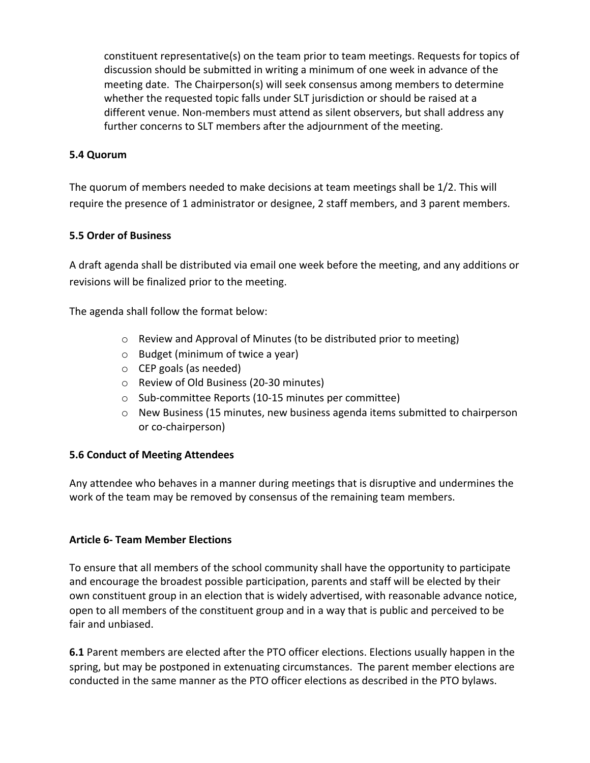constituent representative(s) on the team prior to team meetings. Requests for topics of discussion should be submitted in writing a minimum of one week in advance of the meeting date. The Chairperson(s) will seek consensus among members to determine whether the requested topic falls under SLT jurisdiction or should be raised at a different venue. Non-members must attend as silent observers, but shall address any further concerns to SLT members after the adjournment of the meeting.

#### **5.4 Quorum**

The quorum of members needed to make decisions at team meetings shall be 1/2. This will require the presence of 1 administrator or designee, 2 staff members, and 3 parent members.

#### **5.5 Order of Business**

A draft agenda shall be distributed via email one week before the meeting, and any additions or revisions will be finalized prior to the meeting.

The agenda shall follow the format below:

- o Review and Approval of Minutes (to be distributed prior to meeting)
- o Budget (minimum of twice a year)
- o CEP goals (as needed)
- o Review of Old Business (20-30 minutes)
- o Sub-committee Reports (10-15 minutes per committee)
- o New Business (15 minutes, new business agenda items submitted to chairperson or co-chairperson)

#### **5.6 Conduct of Meeting Attendees**

Any attendee who behaves in a manner during meetings that is disruptive and undermines the work of the team may be removed by consensus of the remaining team members.

#### **Article 6- Team Member Elections**

To ensure that all members of the school community shall have the opportunity to participate and encourage the broadest possible participation, parents and staff will be elected by their own constituent group in an election that is widely advertised, with reasonable advance notice, open to all members of the constituent group and in a way that is public and perceived to be fair and unbiased.

**6.1** Parent members are elected after the PTO officer elections. Elections usually happen in the spring, but may be postponed in extenuating circumstances. The parent member elections are conducted in the same manner as the PTO officer elections as described in the PTO bylaws.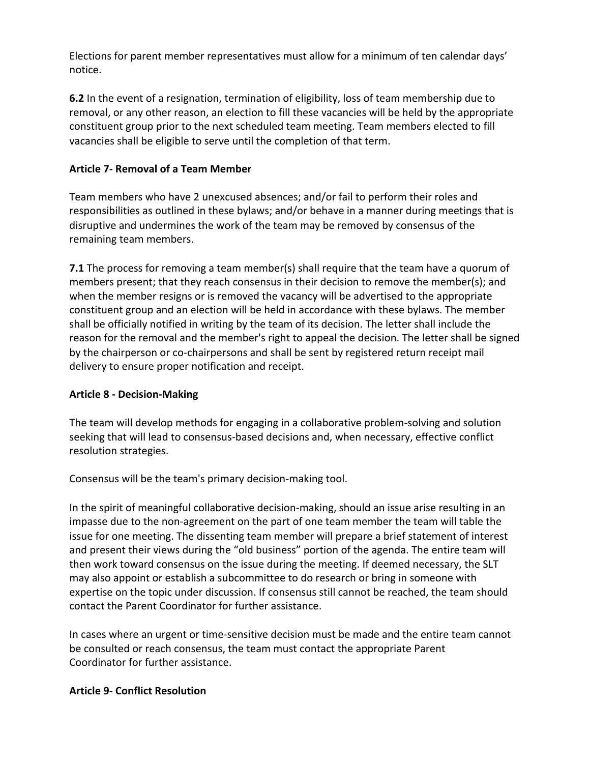Elections for parent member representatives must allow for a minimum of ten calendar days' notice.

**6.2** In the event of a resignation, termination of eligibility, loss of team membership due to removal, or any other reason, an election to fill these vacancies will be held by the appropriate constituent group prior to the next scheduled team meeting. Team members elected to fill vacancies shall be eligible to serve until the completion of that term.

## **Article 7- Removal of a Team Member**

Team members who have 2 unexcused absences; and/or fail to perform their roles and responsibilities as outlined in these bylaws; and/or behave in a manner during meetings that is disruptive and undermines the work of the team may be removed by consensus of the remaining team members.

**7.1** The process for removing a team member(s) shall require that the team have a quorum of members present; that they reach consensus in their decision to remove the member(s); and when the member resigns or is removed the vacancy will be advertised to the appropriate constituent group and an election will be held in accordance with these bylaws. The member shall be officially notified in writing by the team of its decision. The letter shall include the reason for the removal and the member's right to appeal the decision. The letter shall be signed by the chairperson or co-chairpersons and shall be sent by registered return receipt mail delivery to ensure proper notification and receipt.

## **Article 8 - Decision-Making**

The team will develop methods for engaging in a collaborative problem-solving and solution seeking that will lead to consensus-based decisions and, when necessary, effective conflict resolution strategies.

Consensus will be the team's primary decision-making tool.

In the spirit of meaningful collaborative decision-making, should an issue arise resulting in an impasse due to the non-agreement on the part of one team member the team will table the issue for one meeting. The dissenting team member will prepare a brief statement of interest and present their views during the "old business" portion of the agenda. The entire team will then work toward consensus on the issue during the meeting. If deemed necessary, the SLT may also appoint or establish a subcommittee to do research or bring in someone with expertise on the topic under discussion. If consensus still cannot be reached, the team should contact the Parent Coordinator for further assistance.

In cases where an urgent or time-sensitive decision must be made and the entire team cannot be consulted or reach consensus, the team must contact the appropriate Parent Coordinator for further assistance.

## **Article 9- Conflict Resolution**